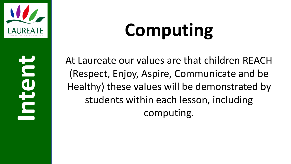

### **Computing**

**Intent**

At Laureate our values are that children REACH (Respect, Enjoy, Aspire, Communicate and be Healthy) these values will be demonstrated by students within each lesson, including computing.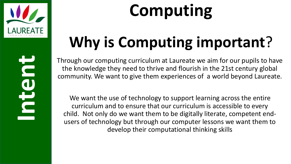

### **Computing**

### **Why is Computing important**?

Through our computing curriculum at Laureate we aim for our pupils to have the knowledge they need to thrive and flourish in the 21st century global community. We want to give them experiences of a world beyond Laureate.

We want the use of technology to support learning across the entire curriculum and to ensure that our curriculum is accessible to every child. Not only do we want them to be digitally literate, competent endusers of technology but through our computer lessons we want them to develop their computational thinking skills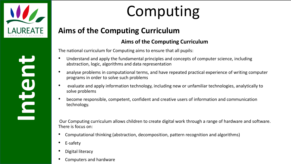

### Computing

#### **Aims of the Computing Curriculum**

#### **Aims of the Computing Curriculum**

The national curriculum for Computing aims to ensure that all pupils:

- Understand and apply the fundamental principles and concepts of computer science, including abstraction, logic, algorithms and data representation
- analyse problems in computational terms, and have repeated practical experience of writing computer programs in order to solve such problems
- evaluate and apply information technology, including new or unfamiliar technologies, analytically to solve problems
- become responsible, competent, confident and creative users of information and communication technology.

Our Computing curriculum allows children to create digital work through a range of hardware and software. There is focus on:

- Computational thinking (abstraction, decomposition, pattern recognition and algorithms)
- E-safety
- Digital literacy
- Computers and hardware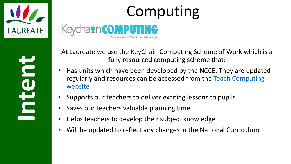

### Computing

At Laureate we use the KeyChain Computing Scheme of Work which is a fully resourced computing scheme that:

- Has units which have been developed by the NCCE. They are updated [regularly and resources can be accessed from the](https://teachcomputing.org/curriculum) Teach Computing website
- Supports our teachers to deliver exciting lessons to pupils
- Saves our teachers valuable planning time
- Helps teachers to develop their subject knowledge
- Will be updated to reflect any changes in the National Curriculum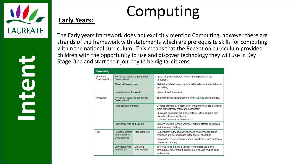

#### **Early Years:**

### Computing

The Early years framework does not explicitly mention Computing, however there are strands of the framework with statements which are prerequisite skills for computing within the national curriculum. This means that the Reception curriculum provides children with the opportunity to use and discover technology they will use in Key Stage One and start their journey to be digital citizens.

| <b>Computing</b>            |                                               |                            |                                                                                                                                             |  |  |
|-----------------------------|-----------------------------------------------|----------------------------|---------------------------------------------------------------------------------------------------------------------------------------------|--|--|
| Three and<br>Four-Year-Olds | Personal, Social and Emotional<br>Development |                            | . Increasingly follow rules, understanding why they are<br>important.                                                                       |  |  |
|                             | <b>Physical Development</b>                   |                            | • Match their developing physical skills to tasks and activities in<br>the setting.                                                         |  |  |
|                             | Understanding the World                       |                            | • Explore how things work.                                                                                                                  |  |  |
| Reception                   | Personal, Social and Emotional<br>Development |                            | . Show resilience and perseverance in the face of a challenge.                                                                              |  |  |
|                             | <b>Physical Development</b>                   |                            | • Develop their small motor skills so that they can use a range of<br>tools competently, safely and confidently.                            |  |  |
|                             |                                               |                            | · Know and talk about the different factors that support their<br>overall health and wellbeing:<br>-sensible amounts of 'screen time'       |  |  |
|                             | <b>Expressive Arts and Design</b>             |                            | • Explore, use and refine a variety of artistic effects to express<br>their ideas and feelings.                                             |  |  |
| FI <sub>G</sub>             | Personal, Social<br>and Emotional             | Managing Self              | • Be confident to try new activities and show independence,<br>resilience and perseverance in the face of challenge.                        |  |  |
|                             | <b>Development</b>                            |                            | • Explain the reasons for rules, know right from wrong and try to<br>behave accordingly.                                                    |  |  |
|                             | <b>Expressive Arts</b><br>and Design          | Creating<br>with Materials | · Safely use and explore a variety of materials, tools and<br>techniques, experimenting with colour, design, texture, form<br>and function. |  |  |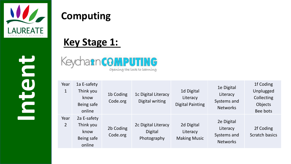

#### **Computing**

#### **Key Stage 1:**

Keychann COMPUTING Opening the lock to learning

| Year<br>$\mathbf{1}$   | 1a E-safety<br>Think you<br>know<br>Being safe<br>online | 1b Coding<br>Code.org | 1c Digital Literacy<br>Digital writing               | 1d Digital<br>Literacy<br><b>Digital Painting</b> | 1e Digital<br>Literacy<br>Systems and<br><b>Networks</b> | 1f Coding<br>Unplugged<br>Collecting<br>Objects<br>Bee bots |
|------------------------|----------------------------------------------------------|-----------------------|------------------------------------------------------|---------------------------------------------------|----------------------------------------------------------|-------------------------------------------------------------|
| Year<br>$\overline{2}$ | 2a E-safety<br>Think you<br>know<br>Being safe<br>online | 2b Coding<br>Code.org | 2c Digital Literacy<br><b>Digital</b><br>Photography | 2d Digital<br>Literacy<br><b>Making Music</b>     | 2e Digital<br>Literacy<br>Systems and<br><b>Networks</b> | 2f Coding<br><b>Scratch basics</b>                          |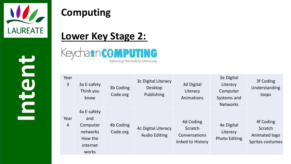

#### **Computing**

#### **Lower Key Stage 2:**

KeychancomPUT TING Opening the lock to learning

| Year<br>3              | 3a E-safety<br>Think you<br>know                                           | 3b Coding<br>Code.org | 3c Digital Literacy<br>Desktop<br>Publishing | 3d Digital<br>Literacy<br>Animations                       | 3e Digital<br>Literacy<br>Computer<br>Systems and<br><b>Networks</b> | 3f Coding<br>Understanding<br>loops                       |
|------------------------|----------------------------------------------------------------------------|-----------------------|----------------------------------------------|------------------------------------------------------------|----------------------------------------------------------------------|-----------------------------------------------------------|
| Year<br>$\overline{4}$ | 4a E-safety<br>and<br>Computer<br>networks<br>How the<br>internet<br>works | 4b Coding<br>Code.org | 4c Digital Literacy<br><b>Audio Editing</b>  | 4d Coding<br>Scratch<br>Conversations<br>linked to History | 4e Digital<br>Literacy<br><b>Photo Editing</b>                       | 4f Coding<br>Scratch<br>Animated logo<br>Sprites costumes |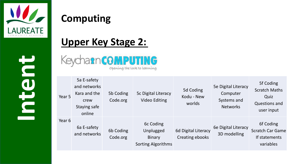

#### **Computing**

#### **Upper Key Stage 2:**

KeychanromPuting Opening the lock to learning

| Year 5 | 5a E-safety<br>and networks<br>Kara and the<br>crew<br>Staying safe<br>online | 5b Coding<br>Code.org | 5c Digital Literacy<br><b>Video Editing</b>                          | 5d Coding<br>Kodu - New<br>worlds      | 5e Digital Literacy<br>Computer<br>Systems and<br><b>Networks</b> | 5f Coding<br><b>Scratch Maths</b><br>Quiz<br><b>Questions and</b><br>user input |
|--------|-------------------------------------------------------------------------------|-----------------------|----------------------------------------------------------------------|----------------------------------------|-------------------------------------------------------------------|---------------------------------------------------------------------------------|
| Year 6 | 6a E-safety<br>and networks                                                   | 6b Coding<br>Code.org | 6c Coding<br>Unplugged<br><b>Binary</b><br><b>Sorting Algorithms</b> | 6d Digital Literacy<br>Creating ebooks | 6e Digital Literacy<br>3D modelling                               | 6f Coding<br><b>Scratch Car Game</b><br>If statements<br>variables              |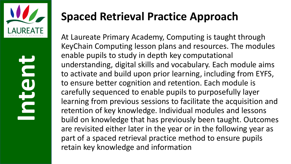

#### **Spaced Retrieval Practice Approach**

At Laureate Primary Academy, Computing is taught through KeyChain Computing lesson plans and resources. The modules enable pupils to study in depth key computational understanding, digital skills and vocabulary. Each module aims to activate and build upon prior learning, including from EYFS, to ensure better cognition and retention. Each module is carefully sequenced to enable pupils to purposefully layer learning from previous sessions to facilitate the acquisition and retention of key knowledge. Individual modules and lessons build on knowledge that has previously been taught. Outcomes are revisited either later in the year or in the following year as part of a spaced retrieval practice method to ensure pupils retain key knowledge and information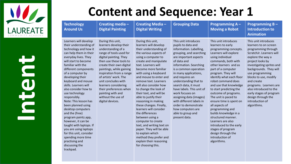

| <b>Technology</b><br><b>Around Us</b>                                                                                                                                                                                                                                                                                                                                                                                                                                                                                                                                                                                                     | Creating media -<br><b>Digital Painting</b>                                                                                                                                                                                                                                                                                                                                                            | <b>Creating Media -</b><br><b>Digital Writing</b>                                                                                                                                                                                                                                                                                                                                                                                                                                                                                                                                                                                                                                | <b>Grouping Data</b>                                                                                                                                                                                                                                                                                                                                                                                                                                                               | <b>Programming A -</b><br><b>Moving a Robot</b>                                                                                                                                                                                                                                                                                                                                                                                                                                                                                                                                                                | <b>Programming B -</b><br><b>Introduction to</b><br><b>Animation</b>                                                                                                                                                                                                                                                                                                                              |
|-------------------------------------------------------------------------------------------------------------------------------------------------------------------------------------------------------------------------------------------------------------------------------------------------------------------------------------------------------------------------------------------------------------------------------------------------------------------------------------------------------------------------------------------------------------------------------------------------------------------------------------------|--------------------------------------------------------------------------------------------------------------------------------------------------------------------------------------------------------------------------------------------------------------------------------------------------------------------------------------------------------------------------------------------------------|----------------------------------------------------------------------------------------------------------------------------------------------------------------------------------------------------------------------------------------------------------------------------------------------------------------------------------------------------------------------------------------------------------------------------------------------------------------------------------------------------------------------------------------------------------------------------------------------------------------------------------------------------------------------------------|------------------------------------------------------------------------------------------------------------------------------------------------------------------------------------------------------------------------------------------------------------------------------------------------------------------------------------------------------------------------------------------------------------------------------------------------------------------------------------|----------------------------------------------------------------------------------------------------------------------------------------------------------------------------------------------------------------------------------------------------------------------------------------------------------------------------------------------------------------------------------------------------------------------------------------------------------------------------------------------------------------------------------------------------------------------------------------------------------------|---------------------------------------------------------------------------------------------------------------------------------------------------------------------------------------------------------------------------------------------------------------------------------------------------------------------------------------------------------------------------------------------------|
| Learners will develop<br>their understanding of<br>technology and how it<br>can help them in their<br>everyday lives. They<br>will start to become<br>familiar with the<br>different components<br>of a computer by<br>developing their<br>keyboard and mouse<br>skills. Learners will<br>also consider how to<br>use technology<br>responsibly.<br>Note: This lesson has<br>been planned using<br>desktop computers<br>and the (free)<br>program paintz.app,<br>however, it can be<br>taught with laptops. If<br>you are using laptops<br>for this unit, consider<br>spending more time<br>practising and<br>discussing the<br>trackpad. | During this unit,<br>learners develop their<br>understanding of a<br>range of tools used for<br>digital painting. They<br>then use these tools to<br>create their own digital<br>paintings, while gaining<br>inspiration from a range<br>of artists' work. The<br>unit concludes with<br>learners considering<br>their preferences when<br>painting with and<br>without the use of<br>digital devices. | During this unit,<br>learners will develop<br>their understanding of<br>the various aspects of<br>using a computer to<br>create and manipulate<br>text. Learners will<br>become more familiar<br>with using a keyboard<br>and mouse to enter and<br>remove text. Learners<br>will also consider how<br>to change the look of<br>their text, and will be<br>able to justify their<br>reasoning in making<br>these changes. Finally,<br>learners will consider<br>the differences<br>between using a<br>computer to create<br>text, and writing text on<br>paper. They will be able<br>to explain which<br>method they prefer and<br>explain their reasoning<br>for choosing this. | This unit introduces<br>pupils to data and<br>information. Labelling,<br>grouping, and searching<br>are important aspects<br>of data and<br>information. Searching<br>is a common operation<br>in many applications,<br>and requires an<br>understanding that to<br>search data, it must<br>have labels. This unit of<br>work focuses on<br>assigning data (images)<br>with different labels in<br>order to demonstrate<br>how computers are<br>able to group and<br>present data. | This unit introduces<br>learners to early<br>programming concepts.<br>Learners will explore<br>using individual<br>commands, both with<br>other learners and as<br>part of a computer<br>program. They will<br>identify what each floor<br>robot command does<br>and use that knowledge<br>to start predicting the<br>outcome of programs.<br>The unit is paced to<br>ensure time is spent on<br>all aspects of<br>programming and<br>builds knowledge in a<br>structured manner.<br>Learners are also<br>introduced to the early<br>stages of program<br>design through the<br>introduction of<br>algorithms. | This unit introduces<br>learners to on screen<br>programming through<br>ScratchJr. Learners will<br>explore the way a<br>project looks by<br>investigating sprites and<br>backgrounds. They will<br>use programming<br>blocks to use, modify<br>and create<br>programs. Learners are<br>also introduced to the<br>early stages of program<br>design through the<br>introduction of<br>algorithms. |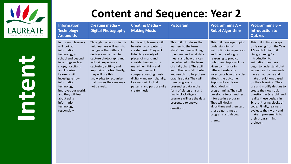

| Information<br><b>Technology</b><br><b>Around Us</b>                                                                                                                                                                                                                                                                                 | Creating media-<br><b>Digital Photography</b>                                                                                                                                                                                                                                                                            | <b>Creating Media -</b><br><b>Making Music</b>                                                                                                                                                                                                                                                                                             | Pictogram                                                                                                                                                                                                                                                                                                                                                                                                                                                      | Programming $A -$<br><b>Robot Algorithms</b>                                                                                                                                                                                                                                                                                                                                                                                                                                                    | <b>Programming B-</b><br><b>Introduction to</b><br><b>Quizzes</b>                                                                                                                                                                                                                                                                                                                                                                                                                                                                           |
|--------------------------------------------------------------------------------------------------------------------------------------------------------------------------------------------------------------------------------------------------------------------------------------------------------------------------------------|--------------------------------------------------------------------------------------------------------------------------------------------------------------------------------------------------------------------------------------------------------------------------------------------------------------------------|--------------------------------------------------------------------------------------------------------------------------------------------------------------------------------------------------------------------------------------------------------------------------------------------------------------------------------------------|----------------------------------------------------------------------------------------------------------------------------------------------------------------------------------------------------------------------------------------------------------------------------------------------------------------------------------------------------------------------------------------------------------------------------------------------------------------|-------------------------------------------------------------------------------------------------------------------------------------------------------------------------------------------------------------------------------------------------------------------------------------------------------------------------------------------------------------------------------------------------------------------------------------------------------------------------------------------------|---------------------------------------------------------------------------------------------------------------------------------------------------------------------------------------------------------------------------------------------------------------------------------------------------------------------------------------------------------------------------------------------------------------------------------------------------------------------------------------------------------------------------------------------|
| In this unit, learners<br>will look at<br>information<br>technology at<br>school and beyond,<br>in settings such as<br>shops, hospitals,<br>and libraries.<br>Learners will<br>investigate how<br>information<br>technology<br>improves our world,<br>and they will learn<br>about using<br>information<br>technology<br>responsibly | Through the lessons in this<br>unit, learners will learn to<br>recognise that different<br>devices can be used to<br>capture photographs and<br>will gain experience<br>capturing, editing, and<br>improving photos. Finally,<br>they will use this<br>knowledge to recognise<br>that images they see may<br>not be real | In this unit, learners will<br>be using a computer to<br>create music. They will<br>listen to a variety of<br>pieces of music and<br>consider how music can<br>make them think and<br>feel. Learners will<br>compare creating music<br>digitally and non-digitally.<br>Learners will look at<br>patterns and purposefully<br>create music. | This unit introduces the<br>learners to the term<br>'data'. Learners will begin<br>to understand what data<br>means and how this can<br>be collected in the form<br>of a tally chart. They will<br>learn the term 'attribute'<br>and use this to help them<br>organise data. They will<br>then progress onto<br>presenting data in the<br>form of pictograms and<br>finally block diagrams.<br>Learners will use the data<br>presented to answer<br>questions. | This unit develops pupils'<br>understanding of<br>instructions in sequences<br>and the use of logical<br>reasoning to predict<br>outcomes. Pupils will use<br>given commands in<br>different orders to<br>investigate how the order<br>affects the outcome.<br>Pupils will also learn<br>about design in<br>programming. They will<br>develop artwork and test<br>it for use in a program.<br>They will design<br>algorithms and then test<br>those algorithms as<br>programs and debug<br>them | This unit initially recaps<br>on learning from the Year<br>1 Scratch Junior unit<br>'Programming B -<br>Introduction to<br>animation' Learners<br>begin to understand that<br>sequences of commands<br>have an outcome and<br>make predictions based<br>on their learning. They<br>use and modify designs to<br>create their own quiz<br>questions in ScratchJr and<br>realise these designs in<br>ScratchJr using blocks of<br>code. Finally, learners<br>evaluate their work and<br>make improvements to<br>their programming<br>projects |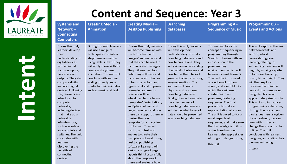

#### **Content and Sequence: Year 3**

| <b>Systems and</b><br>Network-<br><b>Connecting</b><br><b>Computers</b>                                                                                                                                                                                                                                                                                                                                                                                                                                                           | <b>Creating Media -</b><br><b>Animation</b>                                                                                                                                                                                                                                                                                    | <b>Creating Media -</b><br><b>Desktop Publishing</b>                                                                                                                                                                                                                                                                                                                                                                                                                                                                                                                                                                                                                                                                                                                                     | <b>Branching</b><br>databases                                                                                                                                                                                                                                                                                                                                                                                                                                                                                                      | <b>Programming A -</b><br><b>Sequence of Music</b>                                                                                                                                                                                                                                                                                                                                                                                                                                                                                                                                                                                                       | Programming $B -$<br><b>Events and Actions</b>                                                                                                                                                                                                                                                                                                                                                                                                                                                                                                                                                                                                                                          |
|-----------------------------------------------------------------------------------------------------------------------------------------------------------------------------------------------------------------------------------------------------------------------------------------------------------------------------------------------------------------------------------------------------------------------------------------------------------------------------------------------------------------------------------|--------------------------------------------------------------------------------------------------------------------------------------------------------------------------------------------------------------------------------------------------------------------------------------------------------------------------------|------------------------------------------------------------------------------------------------------------------------------------------------------------------------------------------------------------------------------------------------------------------------------------------------------------------------------------------------------------------------------------------------------------------------------------------------------------------------------------------------------------------------------------------------------------------------------------------------------------------------------------------------------------------------------------------------------------------------------------------------------------------------------------------|------------------------------------------------------------------------------------------------------------------------------------------------------------------------------------------------------------------------------------------------------------------------------------------------------------------------------------------------------------------------------------------------------------------------------------------------------------------------------------------------------------------------------------|----------------------------------------------------------------------------------------------------------------------------------------------------------------------------------------------------------------------------------------------------------------------------------------------------------------------------------------------------------------------------------------------------------------------------------------------------------------------------------------------------------------------------------------------------------------------------------------------------------------------------------------------------------|-----------------------------------------------------------------------------------------------------------------------------------------------------------------------------------------------------------------------------------------------------------------------------------------------------------------------------------------------------------------------------------------------------------------------------------------------------------------------------------------------------------------------------------------------------------------------------------------------------------------------------------------------------------------------------------------|
| During this unit,<br>learners develop<br>their<br>understanding of<br>digital devices,<br>with an initial<br>focus on inputs,<br>processes, and<br>outputs. They also<br>compare digital<br>and non-digital<br>devices. Following<br>this, learners are<br>introduced to<br>computer<br>networks,<br>including devices<br>that make up a<br>network's<br>infrastructure,<br>such as wireless<br>access points and<br>switches. The unit<br>concludes with<br>learners<br>discovering the<br>benefits of<br>connecting<br>devices. | During this unit, learners<br>will use a range of<br>techniques to create a<br>stop frame animation<br>using tablets. Next, they<br>will apply those skills to<br>create a story-based<br>animation. This unit will<br>conclude with learners<br>adding other types of<br>media to their animation,<br>such as music and text. | IDuring this unit, learners<br>will become familiar with<br>the terms 'text' and<br>'images' and understand<br>that they can be used to<br>communicate messages.<br>They will use desktop<br>publishing software and<br>consider careful choices<br>of font size, colour and<br>type to edit and improve<br>premade documents.<br>Learners will be<br>introduced to the terms<br>'templates', 'orientation',<br>and 'placeholders' and<br>begin to understand how<br>these can support them in<br>making their own<br>template for a magazine<br>front cover. They will<br>start to add text and<br>images to create their<br>own pieces of work using<br>desktop publishing<br>software. Learners will<br>look at a range of page<br>layouts thinking carefully<br>about the purpose of | During this unit, learners<br>will develop their<br>understanding of what a<br>branching database is and<br>how to create one. They<br>will gain an understanding<br>of what attributes are and<br>how to use them to sort<br>groups of objects by using<br>yes/no questions. The<br>learners will create<br>physical and on-screen<br>branching databases.<br>Finally, they will evaluate<br>the effectiveness of<br>branching databases and<br>will decide what types of<br>data should be presented<br>as a branching database. | This unit explores the<br>concept of sequencing in<br>programming through<br>Scratch. It begins with an<br>introduction to the<br>programming<br>environment, which will<br>be new to most learners.<br>They will be introduced to<br>a selection of motion,<br>sound, and event blocks<br>which they will use to<br>create their own<br>programs, featuring<br>sequences. The final<br>project is to make a<br>representation of a piano.<br>The unit is paced to focus<br>on all aspects of<br>sequences, and make sure<br>that knowledge is built in<br>a structured manner.<br>Learners also apply stages<br>of program design through<br>this unit. | This unit explores the links<br>between events and<br>actions, whilst<br>consolidating prior<br>learning relating to<br>sequencing. Learners will<br>begin by moving a sprite<br>in four directions (up,<br>down, left and right). They<br>will then explore<br>movement within the<br>context of a maze, using<br>design to choose an<br>appropriately sized sprite.<br>This unit also introduces<br>programming extensions,<br>through the use of pen<br>blocks. Learners are given<br>the opportunity to draw<br>lines with sprites and<br>change the size and colour<br>of lines. The unit<br>concludes with learners<br>designing and coding their<br>own maze tracing<br>program. |

these and evaluate how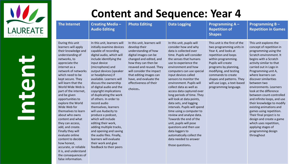

false information.

| <b>The Internet</b>                                                                                                                                                                                                                                                                                                                                                                                                                                                                                                                                                                                           | <b>Creating Media -</b><br><b>Audio Editing</b>                                                                                                                                                                                                                                                                                                                                                                                                                                                                                                                                                                                                                                               | <b>Photo Editing</b>                                                                                                                                                                                                                                                                                | <b>Data Logging</b>                                                                                                                                                                                                                                                                                                                                                                                                                                                                                                                                                                                                                                                                                            | <b>Programming A-</b><br><b>Repetition of</b><br><b>Shapes</b>                                                                                                                                                                                                                                                       | Programming $B -$<br><b>Repetition in Games</b>                                                                                                                                                                                                                                                                                                                                                                                                                                                                                                                                                                           |
|---------------------------------------------------------------------------------------------------------------------------------------------------------------------------------------------------------------------------------------------------------------------------------------------------------------------------------------------------------------------------------------------------------------------------------------------------------------------------------------------------------------------------------------------------------------------------------------------------------------|-----------------------------------------------------------------------------------------------------------------------------------------------------------------------------------------------------------------------------------------------------------------------------------------------------------------------------------------------------------------------------------------------------------------------------------------------------------------------------------------------------------------------------------------------------------------------------------------------------------------------------------------------------------------------------------------------|-----------------------------------------------------------------------------------------------------------------------------------------------------------------------------------------------------------------------------------------------------------------------------------------------------|----------------------------------------------------------------------------------------------------------------------------------------------------------------------------------------------------------------------------------------------------------------------------------------------------------------------------------------------------------------------------------------------------------------------------------------------------------------------------------------------------------------------------------------------------------------------------------------------------------------------------------------------------------------------------------------------------------------|----------------------------------------------------------------------------------------------------------------------------------------------------------------------------------------------------------------------------------------------------------------------------------------------------------------------|---------------------------------------------------------------------------------------------------------------------------------------------------------------------------------------------------------------------------------------------------------------------------------------------------------------------------------------------------------------------------------------------------------------------------------------------------------------------------------------------------------------------------------------------------------------------------------------------------------------------------|
| During this unit<br>learners will apply<br>their knowledge and<br>understanding of<br>networks, to<br>appreciate the<br>internet as a<br>network of networks<br>which need to be<br>kept secure. They<br>will learn that the<br>World Wide Web is<br>part of the internet,<br>and be given<br>opportunities to<br>explore the World<br>Wide Web for<br>themselves to learn<br>about who owns<br>content and what<br>they can access,<br>add, and create.<br>Finally they will<br>evaluate online<br>content to decide<br>how honest,<br>accurate, or reliable<br>it is, and understand<br>the consequences of | In this unit, learners will<br>initially examine devices<br>capable of recording<br>digital audio, which will<br>include identifying the<br>input device<br>(microphone) and<br>output devices (speaker<br>or headphones) if<br>available. Learners will<br>discuss the ownership<br>of digital audio and the<br>copyright implications<br>of duplicating the work<br>of others. In order to<br>record audio<br>themselves, learners<br>will use Audacity to<br>produce a podcast,<br>which will include<br>editing their work,<br>adding multiple tracks,<br>and opening and saving<br>the audio files. Finally,<br>learners will evaluate<br>their work and give<br>feedback to their peers | In this unit, learners will<br>develop their<br>understanding of how<br>digital images can be<br>changed and edited, and<br>how they can then be<br>resaved and reused. They<br>will consider the impact<br>that editing images can<br>have, and evaluate the<br>effectiveness of their<br>choices. | In this unit, pupils will<br>consider how and why<br>data is collected over<br>time. Pupils will consider<br>the senses that humans<br>use to experience the<br>environment and how<br>computers can use special<br>input devices called<br>sensors to monitor the<br>environment. Pupils will<br>collect data as well as<br>access data captured over<br>long periods of time. They<br>will look at data points,<br>data sets, and logging<br>intervals. Pupils will spend<br>time using a computer to<br>review and analyse data.<br>Towards the end of the<br>unit, pupils will pose<br>questions and then use<br>data loggers to<br>automatically collect the<br>data needed to answer<br>those questions. | This unit is the first of the<br>two programming units in<br>Year 4, and looks at<br>repetition and loops<br>within programming.<br>Pupils will create<br>programs by planning,<br>modifying, and testing<br>commands to create<br>shapes and patterns. They<br>will use Logo, a text-based<br>programming language. | This unit explores the<br>concept of repetition in<br>programming using the<br>Scratch environment. It<br>begins with a Scratch<br>activity similar to that<br>carried out in Logo in<br>Programming unit A,<br>where learners can<br>discover similarities<br>between two<br>environments. Learners<br>look at the difference<br>between count-controlled<br>and infinite loops, and use<br>their knowledge to modify<br>existing animations and<br>games using repetition.<br>Their final project is to<br>design and create a game<br>which uses repetition,<br>applying stages of<br>programming design<br>throughout |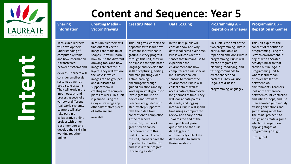

| <b>Sharing</b><br><b>Information</b>                                                                                                                                                                                                                                                                                                                                                                                                                                                                                                           | <b>Creating Media -</b><br><b>Vector Drawing</b>                                                                                                                                                                                                                                                                                                                                                                                                                          | <b>Creating Media</b>                                                                                                                                                                                                                                                                                                                                                                                                                                                                                                                                                                                                                                                                                                                                                                    | <b>Data Logging</b>                                                                                                                                                                                                                                                                                                                                                                                                                                                                                                                                                                                                                                                                                           | Programming $A -$<br><b>Repetition of Shapes</b>                                                                                                                                                                                                                                                                     | Programming $B -$<br><b>Repetition in Games</b>                                                                                                                                                                                                                                                                                                                                                                                                                                                                                                                                                                            |
|------------------------------------------------------------------------------------------------------------------------------------------------------------------------------------------------------------------------------------------------------------------------------------------------------------------------------------------------------------------------------------------------------------------------------------------------------------------------------------------------------------------------------------------------|---------------------------------------------------------------------------------------------------------------------------------------------------------------------------------------------------------------------------------------------------------------------------------------------------------------------------------------------------------------------------------------------------------------------------------------------------------------------------|------------------------------------------------------------------------------------------------------------------------------------------------------------------------------------------------------------------------------------------------------------------------------------------------------------------------------------------------------------------------------------------------------------------------------------------------------------------------------------------------------------------------------------------------------------------------------------------------------------------------------------------------------------------------------------------------------------------------------------------------------------------------------------------|---------------------------------------------------------------------------------------------------------------------------------------------------------------------------------------------------------------------------------------------------------------------------------------------------------------------------------------------------------------------------------------------------------------------------------------------------------------------------------------------------------------------------------------------------------------------------------------------------------------------------------------------------------------------------------------------------------------|----------------------------------------------------------------------------------------------------------------------------------------------------------------------------------------------------------------------------------------------------------------------------------------------------------------------|----------------------------------------------------------------------------------------------------------------------------------------------------------------------------------------------------------------------------------------------------------------------------------------------------------------------------------------------------------------------------------------------------------------------------------------------------------------------------------------------------------------------------------------------------------------------------------------------------------------------------|
| In this unit, learners<br>will develop their<br>understanding of<br>computer systems<br>and how information<br>is transferred<br>between systems and<br>devices. Learners will<br>consider small-scale<br>systems as well as<br>large-scale systems.<br>They will explain the<br>input, output, and<br>process aspects of a<br>variety of different<br>real-world systems.<br>Learners will also<br>take part in a<br>collaborative online<br>project with other<br>class members and<br>develop their skills in<br>working together<br>online | In this unit learners will<br>find out that vector<br>images are made up of<br>shapes. They will learn<br>how to use the different<br>drawing tools and how<br>images are created in<br>layers. They will explore<br>the ways in which<br>images can be grouped<br>and duplicated to<br>support them in<br>creating more complex<br>pieces of work. This unit<br>is planned using the<br>Google Drawings app<br>other alternative pieces<br>of software are<br>available. | This unit gives learners the<br>opportunity to learn how<br>to create short videos in<br>groups. As they progress<br>through this unit, they will<br>be exposed to topic-based<br>language and develop the<br>skills of capturing, editing,<br>and manipulating video.<br>Active learning is<br>encouraged through<br>guided questions and by<br>working in small groups to<br>investigate the use of<br>devices and software.<br>Learners are guided with<br>step-by-step support to<br>take their idea from<br>conception to completion.<br>At the teacher's<br>discretion, the use of<br>green screen can be<br>incorporated into this<br>unit. At the conclusion of<br>the unit, learners have the<br>opportunity to reflect on<br>and assess their progress<br>in creating a video. | In this unit, pupils will<br>consider how and why<br>data is collected over time.<br>Pupils will consider the<br>senses that humans use to<br>experience the<br>environment and how<br>computers can use special<br>input devices called<br>sensors to monitor the<br>environment. Pupils will<br>collect data as well as<br>access data captured over<br>long periods of time. They<br>will look at data points,<br>data sets, and logging<br>intervals. Pupils will spend<br>time using a computer to<br>review and analyse data.<br>Towards the end of the<br>unit, pupils will pose<br>questions and then use<br>data loggers to<br>automatically collect the<br>data needed to answer<br>those questions | This unit is the first of the<br>two programming units in<br>Year 4, and looks at<br>repetition and loops within<br>programming. Pupils will<br>create programs by<br>planning, modifying, and<br>testing commands to<br>create shapes and<br>patterns. They will use<br>Logo, a text-based<br>programming language. | This unit explores the<br>concept of repetition in<br>programming using the<br>Scratch environment. It<br>begins with a Scratch<br>activity similar to that<br>carried out in Logo in<br>Programming unit A,<br>where learners can<br>discover similarities<br>between two<br>environments. Learners<br>look at the difference<br>between count-controlled<br>and infinite loops, and use<br>their knowledge to modify<br>existing animations and<br>games using repetition.<br>Their final project is to<br>design and create a game<br>which uses repetition,<br>applying stages of<br>programming design<br>throughout. |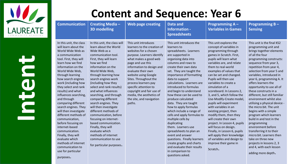

| <b>Communication</b>                                                                                                                                                                                                                                                                                                                                                                                                                                                                                                                                                                                                                    | <b>Creating Media -</b><br><b>3D modelling</b>                                                                                                                                                                                                                                                                                                                                                                                                                                                                                                                                                                                  | <b>Web page creating</b>                                                                                                                                                                                                                                                                                                                                                                                     | <b>Data and</b><br>Information -<br><b>Spreadsheets</b>                                                                                                                                                                                                                                                                                                                                                                                                                                                                                                                                                                                                                                                                              | Programming $A -$<br><b>Variables in Games</b>                                                                                                                                                                                                                                                                                                                                                                                                                                                                                                                                                                                                                                                                              | Programming $B -$<br><b>Sensing</b>                                                                                                                                                                                                                                                                                                                                                                                                                                                                                                                                                                                                                                                                                                                      |
|-----------------------------------------------------------------------------------------------------------------------------------------------------------------------------------------------------------------------------------------------------------------------------------------------------------------------------------------------------------------------------------------------------------------------------------------------------------------------------------------------------------------------------------------------------------------------------------------------------------------------------------------|---------------------------------------------------------------------------------------------------------------------------------------------------------------------------------------------------------------------------------------------------------------------------------------------------------------------------------------------------------------------------------------------------------------------------------------------------------------------------------------------------------------------------------------------------------------------------------------------------------------------------------|--------------------------------------------------------------------------------------------------------------------------------------------------------------------------------------------------------------------------------------------------------------------------------------------------------------------------------------------------------------------------------------------------------------|--------------------------------------------------------------------------------------------------------------------------------------------------------------------------------------------------------------------------------------------------------------------------------------------------------------------------------------------------------------------------------------------------------------------------------------------------------------------------------------------------------------------------------------------------------------------------------------------------------------------------------------------------------------------------------------------------------------------------------------|-----------------------------------------------------------------------------------------------------------------------------------------------------------------------------------------------------------------------------------------------------------------------------------------------------------------------------------------------------------------------------------------------------------------------------------------------------------------------------------------------------------------------------------------------------------------------------------------------------------------------------------------------------------------------------------------------------------------------------|----------------------------------------------------------------------------------------------------------------------------------------------------------------------------------------------------------------------------------------------------------------------------------------------------------------------------------------------------------------------------------------------------------------------------------------------------------------------------------------------------------------------------------------------------------------------------------------------------------------------------------------------------------------------------------------------------------------------------------------------------------|
| In this unit, the class<br>will learn about the<br>World Wide Web as<br>a communication<br>tool. First, they will<br>learn how we find<br>information on the<br>World Wide Web,<br>through learning<br>how search engines<br>work (including how<br>they select and rank<br>results) and what<br>influences searching,<br>and through<br>comparing different<br>search engines. They<br>will then investigate<br>different methods of<br>communication,<br>before focusing on<br>internet-based<br>communication.<br>Finally, they will<br>evaluate which<br>methods of internet<br>communication to<br>use for particular<br>purposes. | In this unit, the class will<br>learn about the World<br>Wide Web as a<br>communication tool.<br>First, they will learn<br>how we find<br>information on the<br>World Wide Web,<br>through learning how<br>search engines work<br>(including how they<br>select and rank results)<br>and what influences<br>searching, and through<br>comparing different<br>search engines. They<br>will then investigate<br>different methods of<br>communication, before<br>focusing on internet-<br>based communication.<br>Finally, they will<br>evaluate which<br>methods of internet<br>communication to use<br>for particular purposes. | This unit introduces<br>learners to the creation of<br>websites for a chosen<br>purpose. Learners identify<br>what makes a good web<br>page and use this<br>information to design and<br>evaluate their own<br>website using Google<br>Sites. Throughout the<br>process learners pay<br>specific attention to<br>copyright and fair use of<br>media, the aesthetics of<br>the site, and navigation<br>paths. | This unit introduces the<br>learners to<br>spreadsheets. Learners<br>are supported in<br>organising data into<br>columns and rows to<br>create their own data<br>set. They are taught the<br>importance of formatting<br>data to support<br>calculations. Learners are<br>introduced to formulas<br>and begin to understand<br>how these can be used to<br>produce calculated<br>data. They are taught<br>how to apply formulas<br>which include a range of<br>cells and apply formulas to<br>multiple cells by<br>duplicating<br>them. Learners use<br>spreadsheets to plan an<br>event and answer<br>questions. Finally learners<br>create graphs and charts<br>and evaluate their results<br>in comparison to<br>questions asked. | This unit explores the<br>concept of variables in<br>programming through<br>games in Scratch. First,<br>pupils will learn what<br>variables are, and relate<br>them to real-world<br>examples of values that<br>can be set and changed.<br>Pupils will then use<br>variables to create a<br>simulation of a<br>scoreboard. In Lessons 2,<br>3, and 5, which follow the<br>Use-Modify-Create model,<br>pupils will experiment<br>with variables in an<br>existing project, then<br>modify them, then they<br>will create their own<br>project. In Lesson 4, pupils<br>will focus on design.<br>Finally, in Lesson 6, pupils<br>will apply their knowledge<br>of variables and design to<br>improve their game in<br>Scratch. | This unit is the final KS2<br>programming unit and<br>brings together elements<br>of all the four<br>programming constructs:<br>sequence from year 3,<br>repetition from year 4,<br>selection from year 5 and<br>variables, introduced in<br>year 6, programming A. It<br>offers learners the<br>opportunity to use all of<br>these constructs in a<br>different, but still familiar<br>environment whilst also<br>utilising a physical device -<br>the micro:bit. The unit<br>begins with a simple<br>program which learners<br>build in and test in the<br>programming<br>environment before<br>transferring it to their<br>micro:bit. Learners then<br>take on three new<br>projects in lessons 2, 3<br>and 4, with each lesson<br>adding more depth. |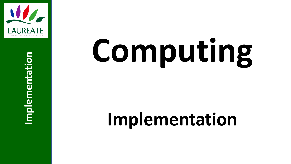

**Implementation**

Implementation

## **Computing**

### **Implementation**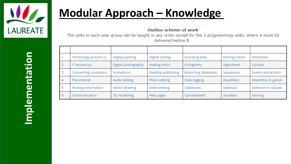

#### **Modular Approach – Knowledge**

**Outline scheme of work** 

The units in each year group can be taught in any order except for the 2 programming units, where A must be delivered before B.

|                         | Technology around us | Digital painting    | Digital writing    | Grouping data              | Moving robots | Animation            |
|-------------------------|----------------------|---------------------|--------------------|----------------------------|---------------|----------------------|
| $\overline{2}$          | IT around us         | Digital photography | Making music       | Pictograms                 | Algorithms    | Quizzes              |
| $\overline{\mathbf{3}}$ | Connecting computers | Animations          | Desktop publishing | <b>Branching databases</b> | Sequences     | Events and actions   |
| $\overline{4}$          | The internet         | Audio editing       | Photo editing      | Data logging               | Repetition    | Repetition in games  |
| - 5                     | Sharing Information  | Vector drawing      | Video editing      | <b>Databases</b>           | Selection     | Selection in quizzes |
| - 6                     | Communication        | 3D modelling        | Web pages          | Spreadsheets               | Variables     | Sensing              |

Implementation **Implementation**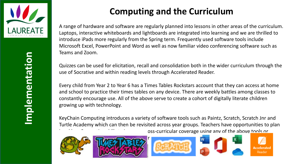

#### **Computing and the Curriculum**

A range of hardware and software are regularly planned into lessons in other areas of the curriculum. Laptops, interactive whiteboards and lightboards are integrated into learning and we are thrilled to introduce iPads more regularly from the Spring term. Frequently used software tools include Microsoft Excel, PowerPoint and Word as well as now familiar video conferencing software such as Teams and Zoom.

Quizzes can be used for elicitation, recall and consolidation both in the wider curriculum through the use of Socrative and within reading levels through Accelerated Reader.

Every child from Year 2 to Year 6 has a Times Tables Rockstars account that they can access at home and school to practice their times tables on any device. There are weekly battles among classes to constantly encourage use. All of the above serve to create a cohort of digitally literate children growing up with technology.

KeyChain Computing introduces a variety of software tools such as Paintz, Scratch, Scratch Jnr and Turtle Academy which can then be revisited across year groups. Teachers have opportunities to plan oss-curricular coverage using any of the above tools or









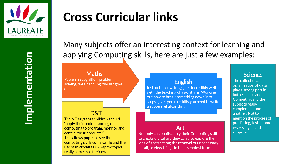

**Implementation** mplementation

#### **Cross Curricular links**

Many subjects offer an interesting context for learning and applying Computing skills, here are just a few examples:

#### **Maths**

Pattern recognition, problem solving, data handling, the list goes on!

#### D&T

The NC says that children should "apply their understanding of computing to program, monitor and control their products." This allows pupils to see their computing skills come to life and the use of micro: bits (Y5 Kapow topic) really come into their own!

#### **English**

Instructional writing goes incredibly well with the teaching of algorithms. Working out how to break something down into steps, gives you the skills you need to write a successful algorithm.

#### Art

Not only can pupils apply their Computing skills to create digital art, they can also explore the idea of abstraction; the removal of unnecessary detail, to view things in their simplest form.

#### **Science**

The collection and organisation of data play a strong part in both Science and Computing and the subjects really complement one another. Not to mention the process of predicting, testing and reviewing in both subjects.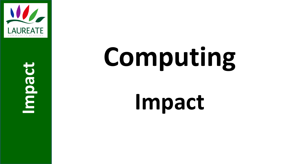

**Impact**

## **Computing**

### **Impact**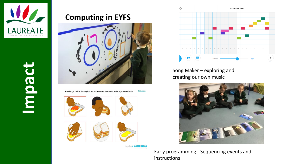

# **Impact**

#### **Computing in EYFS**



Main menu Challenge 1 - Put these pictures in the correct order to make a jam sandwich





KeychatnCOMPUTING



Song Maker – exploring and creating our own music



Early programming - Sequencing events and instructions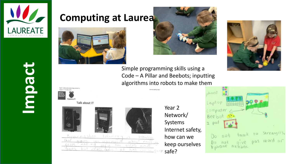

#### **Computing at Laurea**









**Impact**











Sacarmashon teknolegy teknolegy  $15$ about VOIA infermor  $en$ makind  $From$  $COC$ <sub> $M$ </sub>  $100$ ziros  $a.n$ never Jung but has cum so  $+ +$ 

Year 2 Network/ Systems Internet safety, how can we keep ourselves safe?

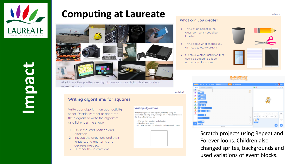

#### **Computing at Laureate**



All of these things either are digital devices or use digital devices inside to make them work.

**Activity 2** 

Writing algorithms

the shape. Remember to:

· Number your steps

Write the algorithm for a square, either by using an

• Mark a start position and direction

annotated drawing, or by writing a list of instructions under

. Include values for line lengths and degrees for turns

#### Writing algorithms for squares

Write your algorithm on your activity sheet. Decide whether to annotate the diagram or write the algorithm as a list under the shape.

- 1. Mark the start position and direction.
- 2. Include the directions and their lengths, and any turns and degrees needed.
- Number the instructions.

#### What can you create?

- Think of an object in the classroom which could be labelled
- Think about what shapes you will need to use to draw it
- Create a vector illustration that could be added to a label around the classroom









Scratch projects using Repeat and Forever loops. Children also changed sprites, backgrounds and used variations of event blocks.

**Activity 2**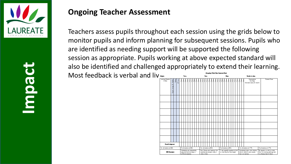

**Impact**

#### **Ongoing Teacher Assessment**

Teachers assess pupils throughout each session using the grids below to monitor pupils and inform planning for subsequent sessions. Pupils who are identified as needing support will be supported the following session as appropriate. Pupils working at above expected standard will also be identified and challenged appropriately to extend their learning. Most feedback is verbal and live